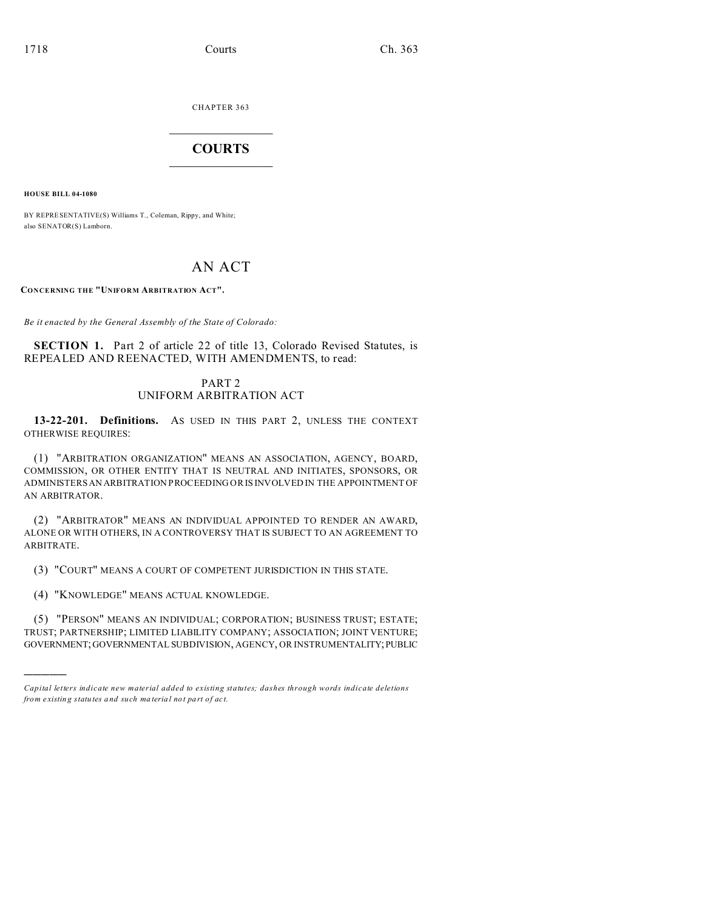CHAPTER 363  $\overline{\phantom{a}}$  , where  $\overline{\phantom{a}}$ 

## **COURTS**  $\_$

**HOUSE BILL 04-1080**

)))))

BY REPRESENTATIVE(S) Williams T., Coleman, Rippy, and White; also SENATOR(S) Lamborn.

# AN ACT

**CONCERNING THE "UNIFORM ARBITRATION ACT".**

*Be it enacted by the General Assembly of the State of Colorado:*

**SECTION 1.** Part 2 of article 22 of title 13, Colorado Revised Statutes, is REPEALED AND REENACTED, WITH AMENDMENTS, to read:

## PART 2 UNIFORM ARBITRATION ACT

**13-22-201. Definitions.** AS USED IN THIS PART 2, UNLESS THE CONTEXT OTHERWISE REQUIRES:

(1) "ARBITRATION ORGANIZATION" MEANS AN ASSOCIATION, AGENCY, BOARD, COMMISSION, OR OTHER ENTITY THAT IS NEUTRAL AND INITIATES, SPONSORS, OR ADMINISTERS AN ARBITRATION PROCEEDING OR IS INVOLVED IN THE APPOINTMENT OF AN ARBITRATOR.

(2) "ARBITRATOR" MEANS AN INDIVIDUAL APPOINTED TO RENDER AN AWARD, ALONE OR WITH OTHERS, IN A CONTROVERSY THAT IS SUBJECT TO AN AGREEMENT TO ARBITRATE.

(3) "COURT" MEANS A COURT OF COMPETENT JURISDICTION IN THIS STATE.

(4) "KNOWLEDGE" MEANS ACTUAL KNOWLEDGE.

(5) "PERSON" MEANS AN INDIVIDUAL; CORPORATION; BUSINESS TRUST; ESTATE; TRUST; PARTNERSHIP; LIMITED LIABILITY COMPANY; ASSOCIATION; JOINT VENTURE; GOVERNMENT;GOVERNMENTAL SUBDIVISION, AGENCY, OR INSTRUMENTALITY;PUBLIC

*Capital letters indicate new material added to existing statutes; dashes through words indicate deletions from e xistin g statu tes a nd such ma teria l no t pa rt of ac t.*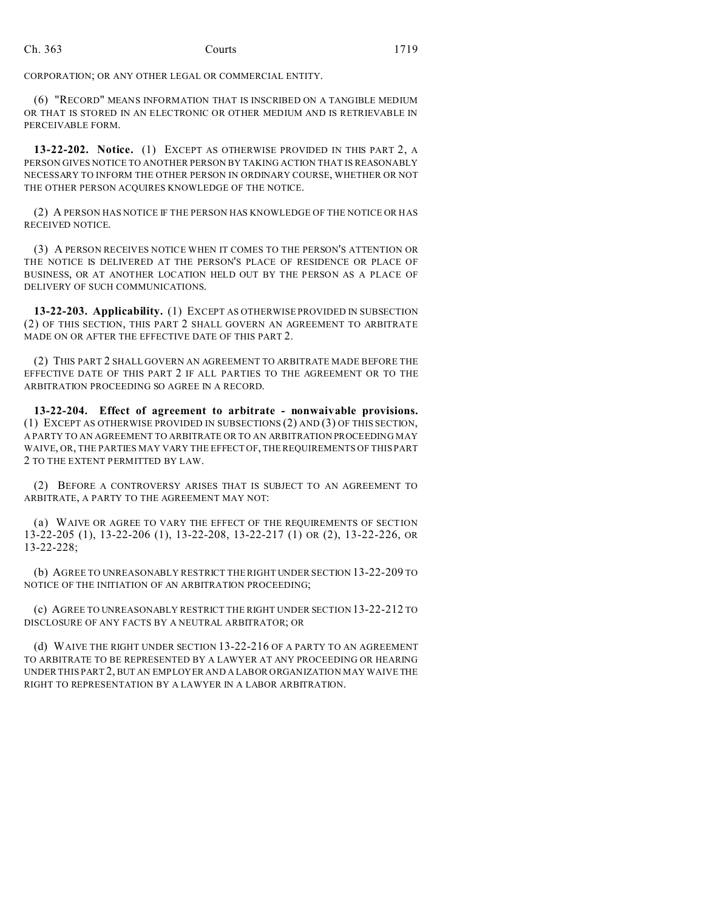CORPORATION; OR ANY OTHER LEGAL OR COMMERCIAL ENTITY.

(6) "RECORD" MEANS INFORMATION THAT IS INSCRIBED ON A TANGIBLE MEDIUM OR THAT IS STORED IN AN ELECTRONIC OR OTHER MEDIUM AND IS RETRIEVABLE IN PERCEIVABLE FORM.

**13-22-202. Notice.** (1) EXCEPT AS OTHERWISE PROVIDED IN THIS PART 2, A PERSON GIVES NOTICE TO ANOTHER PERSON BY TAKING ACTION THAT IS REASONABLY NECESSARY TO INFORM THE OTHER PERSON IN ORDINARY COURSE, WHETHER OR NOT THE OTHER PERSON ACQUIRES KNOWLEDGE OF THE NOTICE.

(2) A PERSON HAS NOTICE IF THE PERSON HAS KNOWLEDGE OF THE NOTICE OR HAS RECEIVED NOTICE.

(3) A PERSON RECEIVES NOTICE WHEN IT COMES TO THE PERSON'S ATTENTION OR THE NOTICE IS DELIVERED AT THE PERSON'S PLACE OF RESIDENCE OR PLACE OF BUSINESS, OR AT ANOTHER LOCATION HELD OUT BY THE PERSON AS A PLACE OF DELIVERY OF SUCH COMMUNICATIONS.

**13-22-203. Applicability.** (1) EXCEPT AS OTHERWISE PROVIDED IN SUBSECTION (2) OF THIS SECTION, THIS PART 2 SHALL GOVERN AN AGREEMENT TO ARBITRATE MADE ON OR AFTER THE EFFECTIVE DATE OF THIS PART 2.

(2) THIS PART 2 SHALL GOVERN AN AGREEMENT TO ARBITRATE MADE BEFORE THE EFFECTIVE DATE OF THIS PART 2 IF ALL PARTIES TO THE AGREEMENT OR TO THE ARBITRATION PROCEEDING SO AGREE IN A RECORD.

**13-22-204. Effect of agreement to arbitrate - nonwaivable provisions.** (1) EXCEPT AS OTHERWISE PROVIDED IN SUBSECTIONS (2) AND (3) OF THIS SECTION, A PARTY TO AN AGREEMENT TO ARBITRATE OR TO AN ARBITRATION PROCEEDING MAY WAIVE, OR, THE PARTIES MAY VARY THE EFFECT OF, THE REQUIREMENTS OF THIS PART 2 TO THE EXTENT PERMITTED BY LAW.

(2) BEFORE A CONTROVERSY ARISES THAT IS SUBJECT TO AN AGREEMENT TO ARBITRATE, A PARTY TO THE AGREEMENT MAY NOT:

(a) WAIVE OR AGREE TO VARY THE EFFECT OF THE REQUIREMENTS OF SECTION 13-22-205 (1), 13-22-206 (1), 13-22-208, 13-22-217 (1) OR (2), 13-22-226, OR 13-22-228;

(b) AGREE TO UNREASONABLY RESTRICT THE RIGHT UNDER SECTION 13-22-209 TO NOTICE OF THE INITIATION OF AN ARBITRATION PROCEEDING;

(c) AGREE TO UNREASONABLY RESTRICT THE RIGHT UNDER SECTION 13-22-212 TO DISCLOSURE OF ANY FACTS BY A NEUTRAL ARBITRATOR; OR

(d) WAIVE THE RIGHT UNDER SECTION 13-22-216 OF A PARTY TO AN AGREEMENT TO ARBITRATE TO BE REPRESENTED BY A LAWYER AT ANY PROCEEDING OR HEARING UNDER THIS PART 2, BUT AN EMPLOYER AND A LABOR ORGANIZATION MAY WAIVE THE RIGHT TO REPRESENTATION BY A LAWYER IN A LABOR ARBITRATION.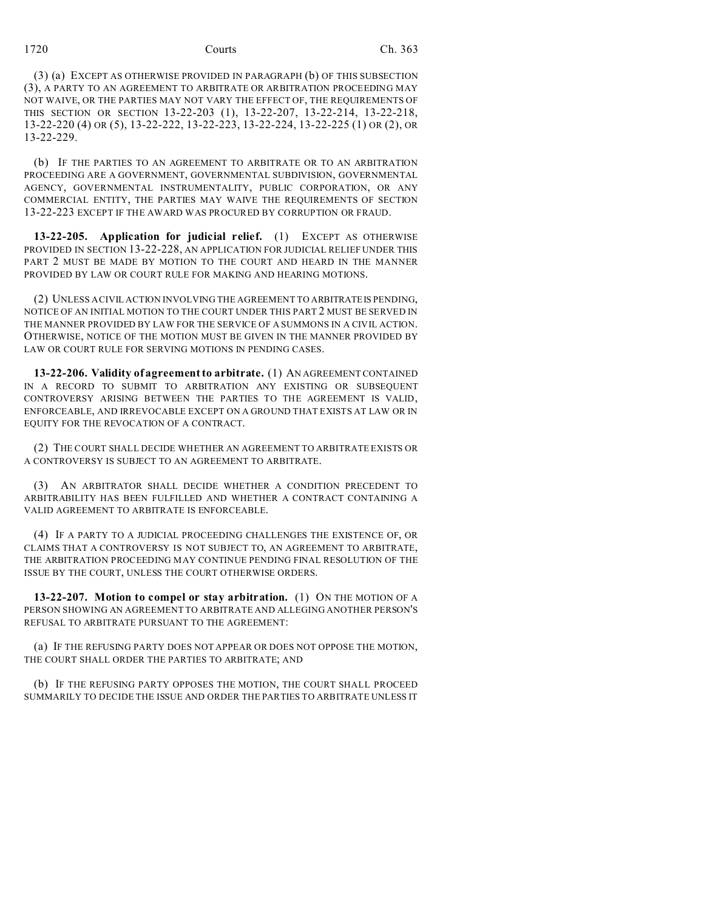(3) (a) EXCEPT AS OTHERWISE PROVIDED IN PARAGRAPH (b) OF THIS SUBSECTION (3), A PARTY TO AN AGREEMENT TO ARBITRATE OR ARBITRATION PROCEEDING MAY NOT WAIVE, OR THE PARTIES MAY NOT VARY THE EFFECT OF, THE REQUIREMENTS OF THIS SECTION OR SECTION 13-22-203 (1), 13-22-207, 13-22-214, 13-22-218, 13-22-220 (4) OR (5), 13-22-222, 13-22-223, 13-22-224, 13-22-225 (1) OR (2), OR 13-22-229.

(b) IF THE PARTIES TO AN AGREEMENT TO ARBITRATE OR TO AN ARBITRATION PROCEEDING ARE A GOVERNMENT, GOVERNMENTAL SUBDIVISION, GOVERNMENTAL AGENCY, GOVERNMENTAL INSTRUMENTALITY, PUBLIC CORPORATION, OR ANY COMMERCIAL ENTITY, THE PARTIES MAY WAIVE THE REQUIREMENTS OF SECTION 13-22-223 EXCEPT IF THE AWARD WAS PROCURED BY CORRUPTION OR FRAUD.

**13-22-205. Application for judicial relief.** (1) EXCEPT AS OTHERWISE PROVIDED IN SECTION 13-22-228, AN APPLICATION FOR JUDICIAL RELIEF UNDER THIS PART 2 MUST BE MADE BY MOTION TO THE COURT AND HEARD IN THE MANNER PROVIDED BY LAW OR COURT RULE FOR MAKING AND HEARING MOTIONS.

(2) UNLESS A CIVIL ACTION INVOLVING THE AGREEMENT TO ARBITRATEIS PENDING, NOTICE OF AN INITIAL MOTION TO THE COURT UNDER THIS PART 2 MUST BE SERVED IN THE MANNER PROVIDED BY LAW FOR THE SERVICE OF A SUMMONS IN A CIVIL ACTION. OTHERWISE, NOTICE OF THE MOTION MUST BE GIVEN IN THE MANNER PROVIDED BY LAW OR COURT RULE FOR SERVING MOTIONS IN PENDING CASES.

**13-22-206. Validity of agreement to arbitrate.** (1) AN AGREEMENT CONTAINED IN A RECORD TO SUBMIT TO ARBITRATION ANY EXISTING OR SUBSEQUENT CONTROVERSY ARISING BETWEEN THE PARTIES TO THE AGREEMENT IS VALID, ENFORCEABLE, AND IRREVOCABLE EXCEPT ON A GROUND THAT EXISTS AT LAW OR IN EQUITY FOR THE REVOCATION OF A CONTRACT.

(2) THE COURT SHALL DECIDE WHETHER AN AGREEMENT TO ARBITRATE EXISTS OR A CONTROVERSY IS SUBJECT TO AN AGREEMENT TO ARBITRATE.

(3) AN ARBITRATOR SHALL DECIDE WHETHER A CONDITION PRECEDENT TO ARBITRABILITY HAS BEEN FULFILLED AND WHETHER A CONTRACT CONTAINING A VALID AGREEMENT TO ARBITRATE IS ENFORCEABLE.

(4) IF A PARTY TO A JUDICIAL PROCEEDING CHALLENGES THE EXISTENCE OF, OR CLAIMS THAT A CONTROVERSY IS NOT SUBJECT TO, AN AGREEMENT TO ARBITRATE, THE ARBITRATION PROCEEDING MAY CONTINUE PENDING FINAL RESOLUTION OF THE ISSUE BY THE COURT, UNLESS THE COURT OTHERWISE ORDERS.

**13-22-207. Motion to compel or stay arbitration.** (1) ON THE MOTION OF A PERSON SHOWING AN AGREEMENT TO ARBITRATE AND ALLEGING ANOTHER PERSON'S REFUSAL TO ARBITRATE PURSUANT TO THE AGREEMENT:

(a) IF THE REFUSING PARTY DOES NOT APPEAR OR DOES NOT OPPOSE THE MOTION, THE COURT SHALL ORDER THE PARTIES TO ARBITRATE; AND

(b) IF THE REFUSING PARTY OPPOSES THE MOTION, THE COURT SHALL PROCEED SUMMARILY TO DECIDE THE ISSUE AND ORDER THE PARTIES TO ARBITRATE UNLESS IT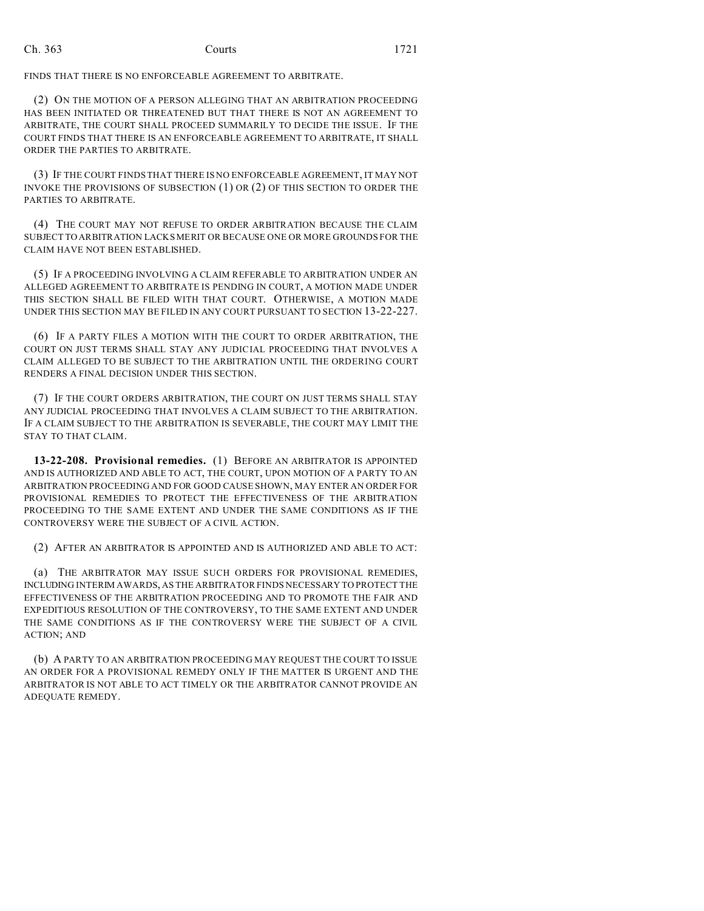FINDS THAT THERE IS NO ENFORCEABLE AGREEMENT TO ARBITRATE.

(2) ON THE MOTION OF A PERSON ALLEGING THAT AN ARBITRATION PROCEEDING HAS BEEN INITIATED OR THREATENED BUT THAT THERE IS NOT AN AGREEMENT TO ARBITRATE, THE COURT SHALL PROCEED SUMMARILY TO DECIDE THE ISSUE. IF THE COURT FINDS THAT THERE IS AN ENFORCEABLE AGREEMENT TO ARBITRATE, IT SHALL ORDER THE PARTIES TO ARBITRATE.

(3) IF THE COURT FINDS THAT THERE IS NO ENFORCEABLE AGREEMENT, IT MAY NOT INVOKE THE PROVISIONS OF SUBSECTION (1) OR (2) OF THIS SECTION TO ORDER THE PARTIES TO ARBITRATE.

(4) THE COURT MAY NOT REFUSE TO ORDER ARBITRATION BECAUSE THE CLAIM SUBJECT TO ARBITRATION LACKS MERIT OR BECAUSE ONE OR MORE GROUNDS FOR THE CLAIM HAVE NOT BEEN ESTABLISHED.

(5) IF A PROCEEDING INVOLVING A CLAIM REFERABLE TO ARBITRATION UNDER AN ALLEGED AGREEMENT TO ARBITRATE IS PENDING IN COURT, A MOTION MADE UNDER THIS SECTION SHALL BE FILED WITH THAT COURT. OTHERWISE, A MOTION MADE UNDER THIS SECTION MAY BE FILED IN ANY COURT PURSUANT TO SECTION 13-22-227.

(6) IF A PARTY FILES A MOTION WITH THE COURT TO ORDER ARBITRATION, THE COURT ON JUST TERMS SHALL STAY ANY JUDICIAL PROCEEDING THAT INVOLVES A CLAIM ALLEGED TO BE SUBJECT TO THE ARBITRATION UNTIL THE ORDERING COURT RENDERS A FINAL DECISION UNDER THIS SECTION.

(7) IF THE COURT ORDERS ARBITRATION, THE COURT ON JUST TERMS SHALL STAY ANY JUDICIAL PROCEEDING THAT INVOLVES A CLAIM SUBJECT TO THE ARBITRATION. IF A CLAIM SUBJECT TO THE ARBITRATION IS SEVERABLE, THE COURT MAY LIMIT THE STAY TO THAT CLAIM.

**13-22-208. Provisional remedies.** (1) BEFORE AN ARBITRATOR IS APPOINTED AND IS AUTHORIZED AND ABLE TO ACT, THE COURT, UPON MOTION OF A PARTY TO AN ARBITRATION PROCEEDING AND FOR GOOD CAUSE SHOWN, MAY ENTER AN ORDER FOR PROVISIONAL REMEDIES TO PROTECT THE EFFECTIVENESS OF THE ARBITRATION PROCEEDING TO THE SAME EXTENT AND UNDER THE SAME CONDITIONS AS IF THE CONTROVERSY WERE THE SUBJECT OF A CIVIL ACTION.

(2) AFTER AN ARBITRATOR IS APPOINTED AND IS AUTHORIZED AND ABLE TO ACT:

(a) THE ARBITRATOR MAY ISSUE SUCH ORDERS FOR PROVISIONAL REMEDIES, INCLUDING INTERIM AWARDS, AS THE ARBITRATOR FINDS NECESSARY TO PROTECT THE EFFECTIVENESS OF THE ARBITRATION PROCEEDING AND TO PROMOTE THE FAIR AND EXPEDITIOUS RESOLUTION OF THE CONTROVERSY, TO THE SAME EXTENT AND UNDER THE SAME CONDITIONS AS IF THE CONTROVERSY WERE THE SUBJECT OF A CIVIL ACTION; AND

(b) A PARTY TO AN ARBITRATION PROCEEDING MAY REQUEST THE COURT TO ISSUE AN ORDER FOR A PROVISIONAL REMEDY ONLY IF THE MATTER IS URGENT AND THE ARBITRATOR IS NOT ABLE TO ACT TIMELY OR THE ARBITRATOR CANNOT PROVIDE AN ADEQUATE REMEDY.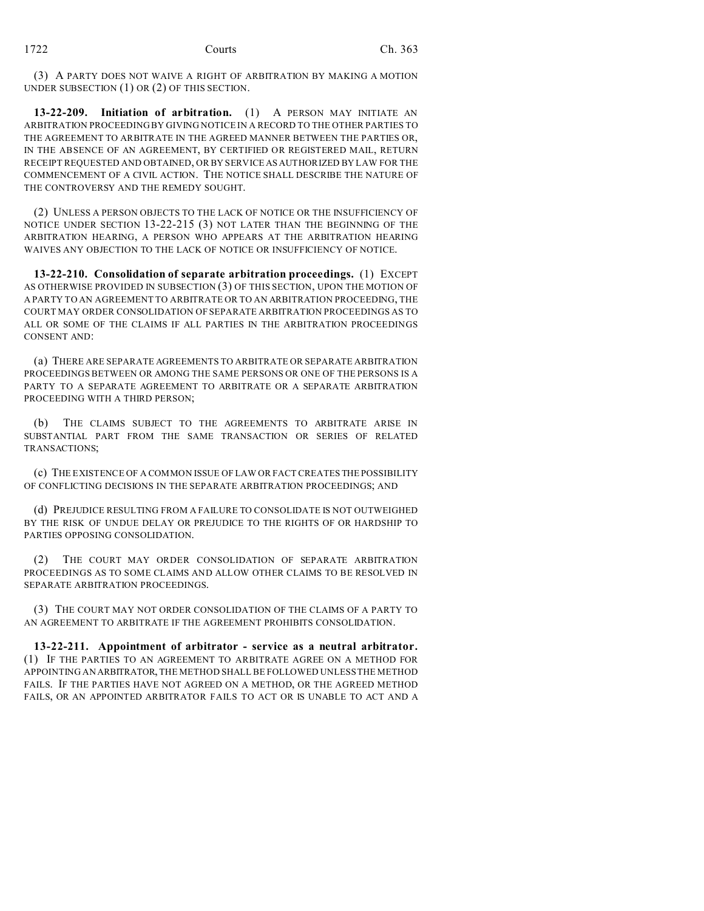(3) A PARTY DOES NOT WAIVE A RIGHT OF ARBITRATION BY MAKING A MOTION UNDER SUBSECTION (1) OR (2) OF THIS SECTION.

**13-22-209. Initiation of arbitration.** (1) A PERSON MAY INITIATE AN ARBITRATION PROCEEDING BY GIVING NOTICE IN A RECORD TO THE OTHER PARTIES TO THE AGREEMENT TO ARBITRATE IN THE AGREED MANNER BETWEEN THE PARTIES OR, IN THE ABSENCE OF AN AGREEMENT, BY CERTIFIED OR REGISTERED MAIL, RETURN RECEIPT REQUESTED AND OBTAINED, OR BY SERVICE AS AUTHORIZED BY LAW FOR THE COMMENCEMENT OF A CIVIL ACTION. THE NOTICE SHALL DESCRIBE THE NATURE OF THE CONTROVERSY AND THE REMEDY SOUGHT.

(2) UNLESS A PERSON OBJECTS TO THE LACK OF NOTICE OR THE INSUFFICIENCY OF NOTICE UNDER SECTION 13-22-215 (3) NOT LATER THAN THE BEGINNING OF THE ARBITRATION HEARING, A PERSON WHO APPEARS AT THE ARBITRATION HEARING WAIVES ANY OBJECTION TO THE LACK OF NOTICE OR INSUFFICIENCY OF NOTICE.

**13-22-210. Consolidation of separate arbitration proceedings.** (1) EXCEPT AS OTHERWISE PROVIDED IN SUBSECTION (3) OF THIS SECTION, UPON THE MOTION OF A PARTY TO AN AGREEMENT TO ARBITRATE OR TO AN ARBITRATION PROCEEDING, THE COURT MAY ORDER CONSOLIDATION OF SEPARATE ARBITRATION PROCEEDINGS AS TO ALL OR SOME OF THE CLAIMS IF ALL PARTIES IN THE ARBITRATION PROCEEDINGS CONSENT AND:

(a) THERE ARE SEPARATE AGREEMENTS TO ARBITRATE OR SEPARATE ARBITRATION PROCEEDINGS BETWEEN OR AMONG THE SAME PERSONS OR ONE OF THE PERSONS IS A PARTY TO A SEPARATE AGREEMENT TO ARBITRATE OR A SEPARATE ARBITRATION PROCEEDING WITH A THIRD PERSON;

(b) THE CLAIMS SUBJECT TO THE AGREEMENTS TO ARBITRATE ARISE IN SUBSTANTIAL PART FROM THE SAME TRANSACTION OR SERIES OF RELATED TRANSACTIONS;

(c) THE EXISTENCE OF A COMMON ISSUE OF LAW OR FACT CREATES THE POSSIBILITY OF CONFLICTING DECISIONS IN THE SEPARATE ARBITRATION PROCEEDINGS; AND

(d) PREJUDICE RESULTING FROM A FAILURE TO CONSOLIDATE IS NOT OUTWEIGHED BY THE RISK OF UNDUE DELAY OR PREJUDICE TO THE RIGHTS OF OR HARDSHIP TO PARTIES OPPOSING CONSOLIDATION.

(2) THE COURT MAY ORDER CONSOLIDATION OF SEPARATE ARBITRATION PROCEEDINGS AS TO SOME CLAIMS AND ALLOW OTHER CLAIMS TO BE RESOLVED IN SEPARATE ARBITRATION PROCEEDINGS.

(3) THE COURT MAY NOT ORDER CONSOLIDATION OF THE CLAIMS OF A PARTY TO AN AGREEMENT TO ARBITRATE IF THE AGREEMENT PROHIBITS CONSOLIDATION.

**13-22-211. Appointment of arbitrator - service as a neutral arbitrator.** (1) IF THE PARTIES TO AN AGREEMENT TO ARBITRATE AGREE ON A METHOD FOR APPOINTING AN ARBITRATOR, THE METHOD SHALL BE FOLLOWED UNLESS THE METHOD FAILS. IF THE PARTIES HAVE NOT AGREED ON A METHOD, OR THE AGREED METHOD FAILS, OR AN APPOINTED ARBITRATOR FAILS TO ACT OR IS UNABLE TO ACT AND A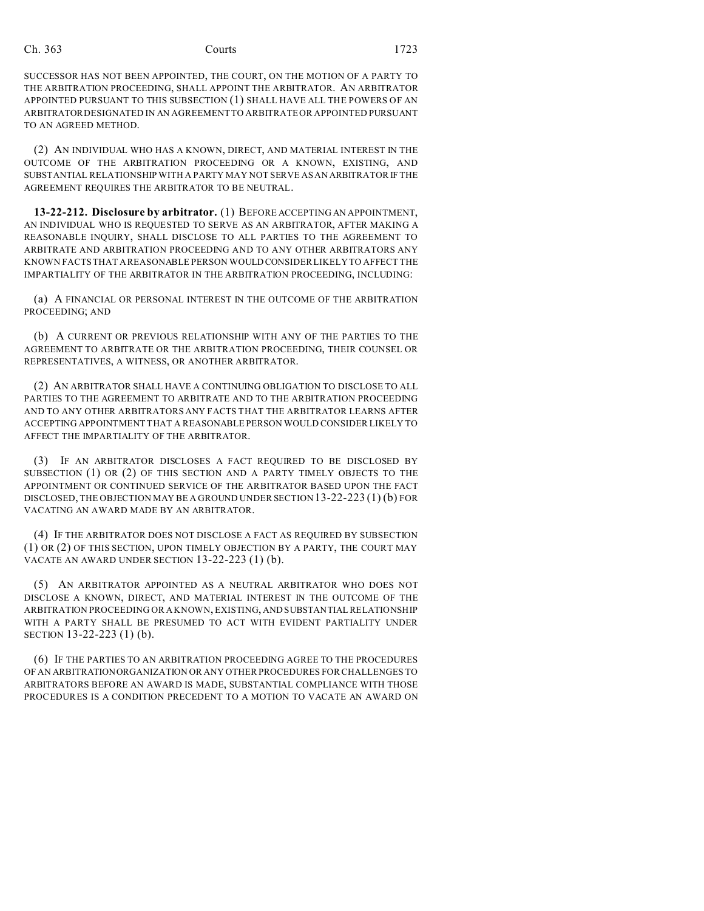SUCCESSOR HAS NOT BEEN APPOINTED, THE COURT, ON THE MOTION OF A PARTY TO THE ARBITRATION PROCEEDING, SHALL APPOINT THE ARBITRATOR. AN ARBITRATOR APPOINTED PURSUANT TO THIS SUBSECTION (1) SHALL HAVE ALL THE POWERS OF AN ARBITRATOR DESIGNATED IN AN AGREEMENT TO ARBITRATE OR APPOINTED PURSUANT TO AN AGREED METHOD.

(2) AN INDIVIDUAL WHO HAS A KNOWN, DIRECT, AND MATERIAL INTEREST IN THE OUTCOME OF THE ARBITRATION PROCEEDING OR A KNOWN, EXISTING, AND SUBSTANTIAL RELATIONSHIP WITH A PARTY MAY NOT SERVE AS AN ARBITRATOR IF THE AGREEMENT REQUIRES THE ARBITRATOR TO BE NEUTRAL.

**13-22-212. Disclosure by arbitrator.** (1) BEFORE ACCEPTING AN APPOINTMENT, AN INDIVIDUAL WHO IS REQUESTED TO SERVE AS AN ARBITRATOR, AFTER MAKING A REASONABLE INQUIRY, SHALL DISCLOSE TO ALL PARTIES TO THE AGREEMENT TO ARBITRATE AND ARBITRATION PROCEEDING AND TO ANY OTHER ARBITRATORS ANY KNOWN FACTS THAT A REASONABLE PERSON WOULD CONSIDER LIKELY TO AFFECT THE IMPARTIALITY OF THE ARBITRATOR IN THE ARBITRATION PROCEEDING, INCLUDING:

(a) A FINANCIAL OR PERSONAL INTEREST IN THE OUTCOME OF THE ARBITRATION PROCEEDING; AND

(b) A CURRENT OR PREVIOUS RELATIONSHIP WITH ANY OF THE PARTIES TO THE AGREEMENT TO ARBITRATE OR THE ARBITRATION PROCEEDING, THEIR COUNSEL OR REPRESENTATIVES, A WITNESS, OR ANOTHER ARBITRATOR.

(2) AN ARBITRATOR SHALL HAVE A CONTINUING OBLIGATION TO DISCLOSE TO ALL PARTIES TO THE AGREEMENT TO ARBITRATE AND TO THE ARBITRATION PROCEEDING AND TO ANY OTHER ARBITRATORS ANY FACTS THAT THE ARBITRATOR LEARNS AFTER ACCEPTING APPOINTMENT THAT A REASONABLE PERSON WOULD CONSIDER LIKELY TO AFFECT THE IMPARTIALITY OF THE ARBITRATOR.

(3) IF AN ARBITRATOR DISCLOSES A FACT REQUIRED TO BE DISCLOSED BY SUBSECTION (1) OR (2) OF THIS SECTION AND A PARTY TIMELY OBJECTS TO THE APPOINTMENT OR CONTINUED SERVICE OF THE ARBITRATOR BASED UPON THE FACT DISCLOSED, THE OBJECTION MAY BE A GROUND UNDER SECTION 13-22-223 (1) (b) FOR VACATING AN AWARD MADE BY AN ARBITRATOR.

(4) IF THE ARBITRATOR DOES NOT DISCLOSE A FACT AS REQUIRED BY SUBSECTION (1) OR (2) OF THIS SECTION, UPON TIMELY OBJECTION BY A PARTY, THE COURT MAY VACATE AN AWARD UNDER SECTION 13-22-223 (1) (b).

(5) AN ARBITRATOR APPOINTED AS A NEUTRAL ARBITRATOR WHO DOES NOT DISCLOSE A KNOWN, DIRECT, AND MATERIAL INTEREST IN THE OUTCOME OF THE ARBITRATION PROCEEDING OR A KNOWN, EXISTING, AND SUBSTANTIAL RELATIONSHIP WITH A PARTY SHALL BE PRESUMED TO ACT WITH EVIDENT PARTIALITY UNDER SECTION 13-22-223 (1) (b).

(6) IF THE PARTIES TO AN ARBITRATION PROCEEDING AGREE TO THE PROCEDURES OF AN ARBITRATIONORGANIZATION OR ANY OTHER PROCEDURES FOR CHALLENGES TO ARBITRATORS BEFORE AN AWARD IS MADE, SUBSTANTIAL COMPLIANCE WITH THOSE PROCEDURES IS A CONDITION PRECEDENT TO A MOTION TO VACATE AN AWARD ON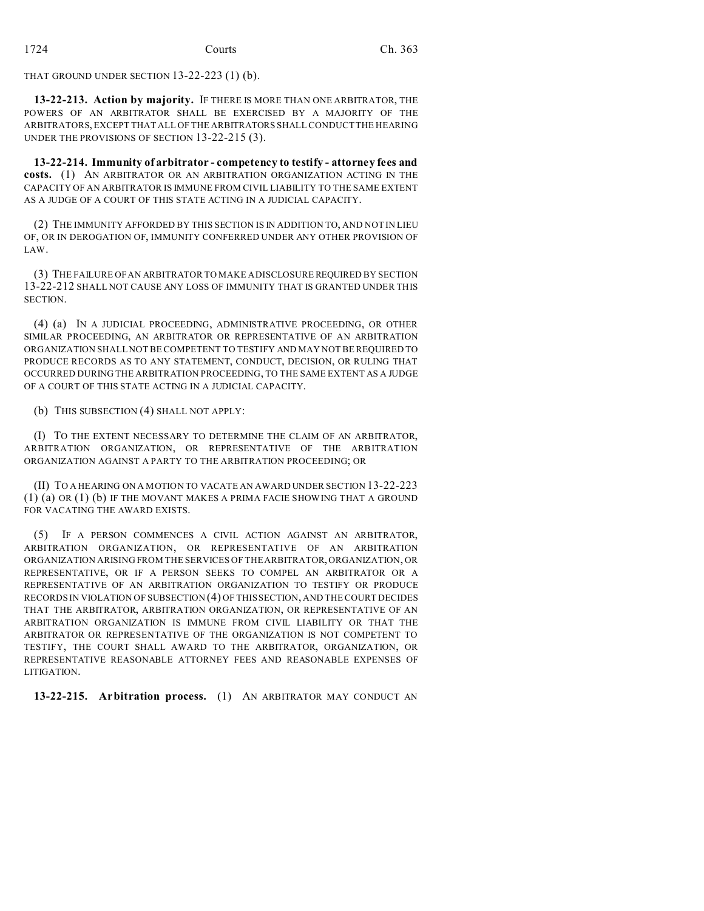THAT GROUND UNDER SECTION 13-22-223 (1) (b).

**13-22-213. Action by majority.** IF THERE IS MORE THAN ONE ARBITRATOR, THE POWERS OF AN ARBITRATOR SHALL BE EXERCISED BY A MAJORITY OF THE ARBITRATORS, EXCEPT THAT ALL OF THE ARBITRATORS SHALL CONDUCT THE HEARING UNDER THE PROVISIONS OF SECTION 13-22-215 (3).

**13-22-214. Immunity of arbitrator - competency to testify - attorney fees and costs.** (1) AN ARBITRATOR OR AN ARBITRATION ORGANIZATION ACTING IN THE CAPACITY OF AN ARBITRATOR IS IMMUNE FROM CIVIL LIABILITY TO THE SAME EXTENT AS A JUDGE OF A COURT OF THIS STATE ACTING IN A JUDICIAL CAPACITY.

(2) THE IMMUNITY AFFORDED BY THIS SECTION IS IN ADDITION TO, AND NOT IN LIEU OF, OR IN DEROGATION OF, IMMUNITY CONFERRED UNDER ANY OTHER PROVISION OF LAW.

(3) THE FAILURE OF AN ARBITRATOR TO MAKE A DISCLOSURE REQUIRED BY SECTION 13-22-212 SHALL NOT CAUSE ANY LOSS OF IMMUNITY THAT IS GRANTED UNDER THIS SECTION.

(4) (a) IN A JUDICIAL PROCEEDING, ADMINISTRATIVE PROCEEDING, OR OTHER SIMILAR PROCEEDING, AN ARBITRATOR OR REPRESENTATIVE OF AN ARBITRATION ORGANIZATION SHALL NOT BE COMPETENT TO TESTIFY AND MAY NOT BE REQUIRED TO PRODUCE RECORDS AS TO ANY STATEMENT, CONDUCT, DECISION, OR RULING THAT OCCURRED DURING THE ARBITRATION PROCEEDING, TO THE SAME EXTENT AS A JUDGE OF A COURT OF THIS STATE ACTING IN A JUDICIAL CAPACITY.

(b) THIS SUBSECTION (4) SHALL NOT APPLY:

(I) TO THE EXTENT NECESSARY TO DETERMINE THE CLAIM OF AN ARBITRATOR, ARBITRATION ORGANIZATION, OR REPRESENTATIVE OF THE ARBITRATION ORGANIZATION AGAINST A PARTY TO THE ARBITRATION PROCEEDING; OR

(II) TO A HEARING ON A MOTION TO VACATE AN AWARD UNDER SECTION 13-22-223 (1) (a) OR (1) (b) IF THE MOVANT MAKES A PRIMA FACIE SHOWING THAT A GROUND FOR VACATING THE AWARD EXISTS.

(5) IF A PERSON COMMENCES A CIVIL ACTION AGAINST AN ARBITRATOR, ARBITRATION ORGANIZATION, OR REPRESENTATIVE OF AN ARBITRATION ORGANIZATION ARISING FROM THE SERVICES OF THE ARBITRATOR, ORGANIZATION, OR REPRESENTATIVE, OR IF A PERSON SEEKS TO COMPEL AN ARBITRATOR OR A REPRESENTATIVE OF AN ARBITRATION ORGANIZATION TO TESTIFY OR PRODUCE RECORDS IN VIOLATION OF SUBSECTION (4) OF THIS SECTION, AND THE COURT DECIDES THAT THE ARBITRATOR, ARBITRATION ORGANIZATION, OR REPRESENTATIVE OF AN ARBITRATION ORGANIZATION IS IMMUNE FROM CIVIL LIABILITY OR THAT THE ARBITRATOR OR REPRESENTATIVE OF THE ORGANIZATION IS NOT COMPETENT TO TESTIFY, THE COURT SHALL AWARD TO THE ARBITRATOR, ORGANIZATION, OR REPRESENTATIVE REASONABLE ATTORNEY FEES AND REASONABLE EXPENSES OF LITIGATION.

**13-22-215. Arbitration process.** (1) AN ARBITRATOR MAY CONDUCT AN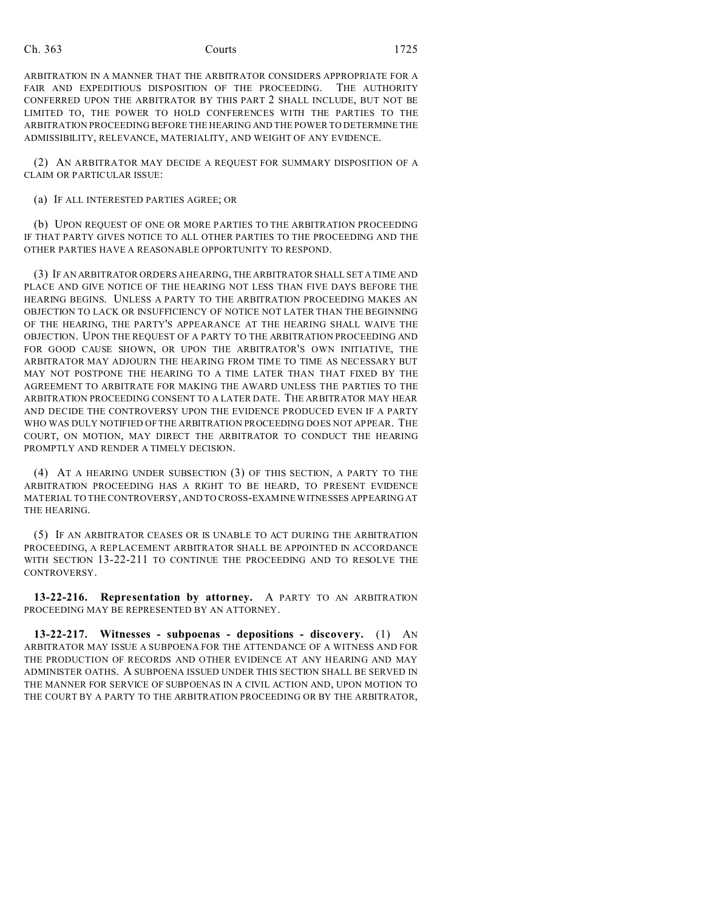ARBITRATION IN A MANNER THAT THE ARBITRATOR CONSIDERS APPROPRIATE FOR A FAIR AND EXPEDITIOUS DISPOSITION OF THE PROCEEDING. THE AUTHORITY CONFERRED UPON THE ARBITRATOR BY THIS PART 2 SHALL INCLUDE, BUT NOT BE LIMITED TO, THE POWER TO HOLD CONFERENCES WITH THE PARTIES TO THE ARBITRATION PROCEEDING BEFORE THE HEARING AND THE POWER TO DETERMINE THE ADMISSIBILITY, RELEVANCE, MATERIALITY, AND WEIGHT OF ANY EVIDENCE.

(2) AN ARBITRATOR MAY DECIDE A REQUEST FOR SUMMARY DISPOSITION OF A CLAIM OR PARTICULAR ISSUE:

(a) IF ALL INTERESTED PARTIES AGREE; OR

(b) UPON REQUEST OF ONE OR MORE PARTIES TO THE ARBITRATION PROCEEDING IF THAT PARTY GIVES NOTICE TO ALL OTHER PARTIES TO THE PROCEEDING AND THE OTHER PARTIES HAVE A REASONABLE OPPORTUNITY TO RESPOND.

(3) IF AN ARBITRATOR ORDERS A HEARING, THE ARBITRATOR SHALL SET A TIME AND PLACE AND GIVE NOTICE OF THE HEARING NOT LESS THAN FIVE DAYS BEFORE THE HEARING BEGINS. UNLESS A PARTY TO THE ARBITRATION PROCEEDING MAKES AN OBJECTION TO LACK OR INSUFFICIENCY OF NOTICE NOT LATER THAN THE BEGINNING OF THE HEARING, THE PARTY'S APPEARANCE AT THE HEARING SHALL WAIVE THE OBJECTION. UPON THE REQUEST OF A PARTY TO THE ARBITRATION PROCEEDING AND FOR GOOD CAUSE SHOWN, OR UPON THE ARBITRATOR'S OWN INITIATIVE, THE ARBITRATOR MAY ADJOURN THE HEARING FROM TIME TO TIME AS NECESSARY BUT MAY NOT POSTPONE THE HEARING TO A TIME LATER THAN THAT FIXED BY THE AGREEMENT TO ARBITRATE FOR MAKING THE AWARD UNLESS THE PARTIES TO THE ARBITRATION PROCEEDING CONSENT TO A LATER DATE. THE ARBITRATOR MAY HEAR AND DECIDE THE CONTROVERSY UPON THE EVIDENCE PRODUCED EVEN IF A PARTY WHO WAS DULY NOTIFIED OF THE ARBITRATION PROCEEDING DOES NOT APPEAR. THE COURT, ON MOTION, MAY DIRECT THE ARBITRATOR TO CONDUCT THE HEARING PROMPTLY AND RENDER A TIMELY DECISION.

(4) AT A HEARING UNDER SUBSECTION (3) OF THIS SECTION, A PARTY TO THE ARBITRATION PROCEEDING HAS A RIGHT TO BE HEARD, TO PRESENT EVIDENCE MATERIAL TO THE CONTROVERSY, AND TO CROSS-EXAMINE WITNESSES APPEARING AT THE HEARING.

(5) IF AN ARBITRATOR CEASES OR IS UNABLE TO ACT DURING THE ARBITRATION PROCEEDING, A REPLACEMENT ARBITRATOR SHALL BE APPOINTED IN ACCORDANCE WITH SECTION 13-22-211 TO CONTINUE THE PROCEEDING AND TO RESOLVE THE CONTROVERSY.

**13-22-216. Representation by attorney.** A PARTY TO AN ARBITRATION PROCEEDING MAY BE REPRESENTED BY AN ATTORNEY.

**13-22-217. Witnesses - subpoenas - depositions - discovery.** (1) AN ARBITRATOR MAY ISSUE A SUBPOENA FOR THE ATTENDANCE OF A WITNESS AND FOR THE PRODUCTION OF RECORDS AND OTHER EVIDENCE AT ANY HEARING AND MAY ADMINISTER OATHS. A SUBPOENA ISSUED UNDER THIS SECTION SHALL BE SERVED IN THE MANNER FOR SERVICE OF SUBPOENAS IN A CIVIL ACTION AND, UPON MOTION TO THE COURT BY A PARTY TO THE ARBITRATION PROCEEDING OR BY THE ARBITRATOR,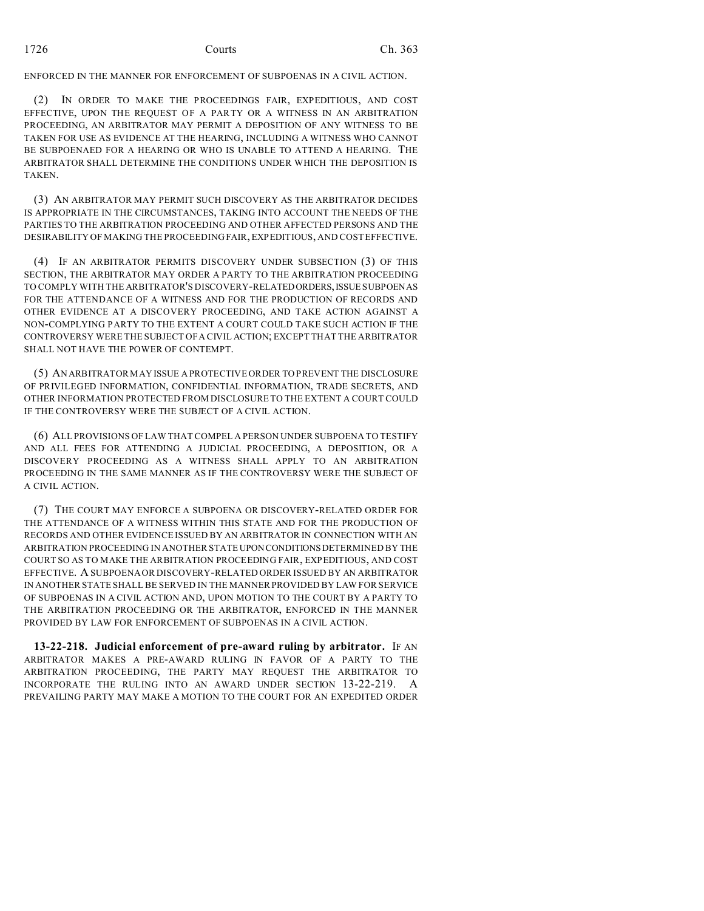ENFORCED IN THE MANNER FOR ENFORCEMENT OF SUBPOENAS IN A CIVIL ACTION.

(2) IN ORDER TO MAKE THE PROCEEDINGS FAIR, EXPEDITIOUS, AND COST EFFECTIVE, UPON THE REQUEST OF A PARTY OR A WITNESS IN AN ARBITRATION PROCEEDING, AN ARBITRATOR MAY PERMIT A DEPOSITION OF ANY WITNESS TO BE TAKEN FOR USE AS EVIDENCE AT THE HEARING, INCLUDING A WITNESS WHO CANNOT BE SUBPOENAED FOR A HEARING OR WHO IS UNABLE TO ATTEND A HEARING. THE ARBITRATOR SHALL DETERMINE THE CONDITIONS UNDER WHICH THE DEPOSITION IS TAKEN.

(3) AN ARBITRATOR MAY PERMIT SUCH DISCOVERY AS THE ARBITRATOR DECIDES IS APPROPRIATE IN THE CIRCUMSTANCES, TAKING INTO ACCOUNT THE NEEDS OF THE PARTIES TO THE ARBITRATION PROCEEDING AND OTHER AFFECTED PERSONS AND THE DESIRABILITY OF MAKING THE PROCEEDING FAIR, EXPEDITIOUS, AND COST EFFECTIVE.

(4) IF AN ARBITRATOR PERMITS DISCOVERY UNDER SUBSECTION (3) OF THIS SECTION, THE ARBITRATOR MAY ORDER A PARTY TO THE ARBITRATION PROCEEDING TO COMPLY WITH THE ARBITRATOR'S DISCOVERY-RELATEDORDERS,ISSUE SUBPOENAS FOR THE ATTENDANCE OF A WITNESS AND FOR THE PRODUCTION OF RECORDS AND OTHER EVIDENCE AT A DISCOVERY PROCEEDING, AND TAKE ACTION AGAINST A NON-COMPLYING PARTY TO THE EXTENT A COURT COULD TAKE SUCH ACTION IF THE CONTROVERSY WERE THE SUBJECT OF A CIVIL ACTION; EXCEPT THAT THE ARBITRATOR SHALL NOT HAVE THE POWER OF CONTEMPT.

(5) AN ARBITRATOR MAY ISSUE A PROTECTIVE ORDER TO PREVENT THE DISCLOSURE OF PRIVILEGED INFORMATION, CONFIDENTIAL INFORMATION, TRADE SECRETS, AND OTHER INFORMATION PROTECTED FROM DISCLOSURE TO THE EXTENT A COURT COULD IF THE CONTROVERSY WERE THE SUBJECT OF A CIVIL ACTION.

(6) ALL PROVISIONS OF LAW THAT COMPEL A PERSON UNDER SUBPOENA TO TESTIFY AND ALL FEES FOR ATTENDING A JUDICIAL PROCEEDING, A DEPOSITION, OR A DISCOVERY PROCEEDING AS A WITNESS SHALL APPLY TO AN ARBITRATION PROCEEDING IN THE SAME MANNER AS IF THE CONTROVERSY WERE THE SUBJECT OF A CIVIL ACTION.

(7) THE COURT MAY ENFORCE A SUBPOENA OR DISCOVERY-RELATED ORDER FOR THE ATTENDANCE OF A WITNESS WITHIN THIS STATE AND FOR THE PRODUCTION OF RECORDS AND OTHER EVIDENCE ISSUED BY AN ARBITRATOR IN CONNECTION WITH AN ARBITRATION PROCEEDING IN ANOTHER STATE UPONCONDITIONSDETERMINED BY THE COURT SO AS TO MAKE THE ARBITRATION PROCEEDING FAIR, EXPEDITIOUS, AND COST EFFECTIVE. A SUBPOENA OR DISCOVERY-RELATED ORDER ISSUED BY AN ARBITRATOR IN ANOTHER STATE SHALL BE SERVED IN THE MANNER PROVIDED BY LAW FOR SERVICE OF SUBPOENAS IN A CIVIL ACTION AND, UPON MOTION TO THE COURT BY A PARTY TO THE ARBITRATION PROCEEDING OR THE ARBITRATOR, ENFORCED IN THE MANNER PROVIDED BY LAW FOR ENFORCEMENT OF SUBPOENAS IN A CIVIL ACTION.

**13-22-218. Judicial enforcement of pre-award ruling by arbitrator.** IF AN ARBITRATOR MAKES A PRE-AWARD RULING IN FAVOR OF A PARTY TO THE ARBITRATION PROCEEDING, THE PARTY MAY REQUEST THE ARBITRATOR TO INCORPORATE THE RULING INTO AN AWARD UNDER SECTION 13-22-219. A PREVAILING PARTY MAY MAKE A MOTION TO THE COURT FOR AN EXPEDITED ORDER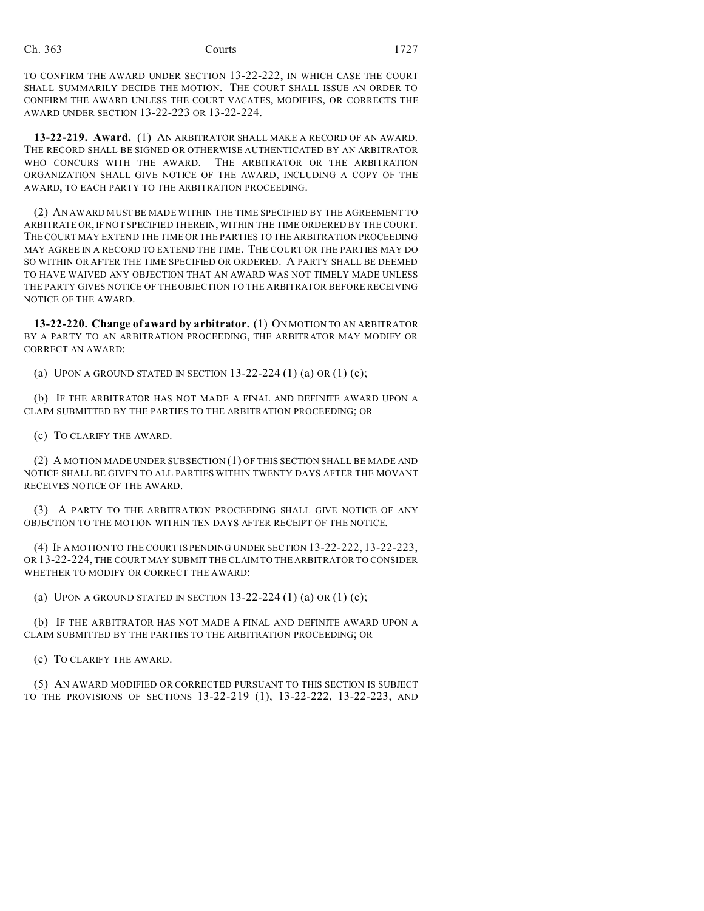TO CONFIRM THE AWARD UNDER SECTION 13-22-222, IN WHICH CASE THE COURT SHALL SUMMARILY DECIDE THE MOTION. THE COURT SHALL ISSUE AN ORDER TO CONFIRM THE AWARD UNLESS THE COURT VACATES, MODIFIES, OR CORRECTS THE AWARD UNDER SECTION 13-22-223 OR 13-22-224.

**13-22-219. Award.** (1) AN ARBITRATOR SHALL MAKE A RECORD OF AN AWARD. THE RECORD SHALL BE SIGNED OR OTHERWISE AUTHENTICATED BY AN ARBITRATOR WHO CONCURS WITH THE AWARD. THE ARBITRATOR OR THE ARBITRATION ORGANIZATION SHALL GIVE NOTICE OF THE AWARD, INCLUDING A COPY OF THE AWARD, TO EACH PARTY TO THE ARBITRATION PROCEEDING.

(2) AN AWARD MUST BE MADE WITHIN THE TIME SPECIFIED BY THE AGREEMENT TO ARBITRATE OR, IF NOT SPECIFIED THEREIN, WITHIN THE TIME ORDERED BY THE COURT. THE COURT MAY EXTEND THE TIME OR THE PARTIES TO THE ARBITRATION PROCEEDING MAY AGREE IN A RECORD TO EXTEND THE TIME. THE COURT OR THE PARTIES MAY DO SO WITHIN OR AFTER THE TIME SPECIFIED OR ORDERED. A PARTY SHALL BE DEEMED TO HAVE WAIVED ANY OBJECTION THAT AN AWARD WAS NOT TIMELY MADE UNLESS THE PARTY GIVES NOTICE OF THE OBJECTION TO THE ARBITRATOR BEFORE RECEIVING NOTICE OF THE AWARD.

**13-22-220. Change of award by arbitrator.** (1) ON MOTION TO AN ARBITRATOR BY A PARTY TO AN ARBITRATION PROCEEDING, THE ARBITRATOR MAY MODIFY OR CORRECT AN AWARD:

(a) UPON A GROUND STATED IN SECTION  $13-22-224$  (1) (a) OR (1) (c);

(b) IF THE ARBITRATOR HAS NOT MADE A FINAL AND DEFINITE AWARD UPON A CLAIM SUBMITTED BY THE PARTIES TO THE ARBITRATION PROCEEDING; OR

(c) TO CLARIFY THE AWARD.

(2) A MOTION MADE UNDER SUBSECTION (1) OF THIS SECTION SHALL BE MADE AND NOTICE SHALL BE GIVEN TO ALL PARTIES WITHIN TWENTY DAYS AFTER THE MOVANT RECEIVES NOTICE OF THE AWARD.

(3) A PARTY TO THE ARBITRATION PROCEEDING SHALL GIVE NOTICE OF ANY OBJECTION TO THE MOTION WITHIN TEN DAYS AFTER RECEIPT OF THE NOTICE.

(4) IF A MOTION TO THE COURT IS PENDING UNDER SECTION 13-22-222, 13-22-223, OR 13-22-224, THE COURT MAY SUBMIT THE CLAIM TO THE ARBITRATOR TO CONSIDER WHETHER TO MODIFY OR CORRECT THE AWARD:

(a) UPON A GROUND STATED IN SECTION 13-22-224 (1) (a) OR (1) (c);

(b) IF THE ARBITRATOR HAS NOT MADE A FINAL AND DEFINITE AWARD UPON A CLAIM SUBMITTED BY THE PARTIES TO THE ARBITRATION PROCEEDING; OR

(c) TO CLARIFY THE AWARD.

(5) AN AWARD MODIFIED OR CORRECTED PURSUANT TO THIS SECTION IS SUBJECT TO THE PROVISIONS OF SECTIONS 13-22-219 (1), 13-22-222, 13-22-223, AND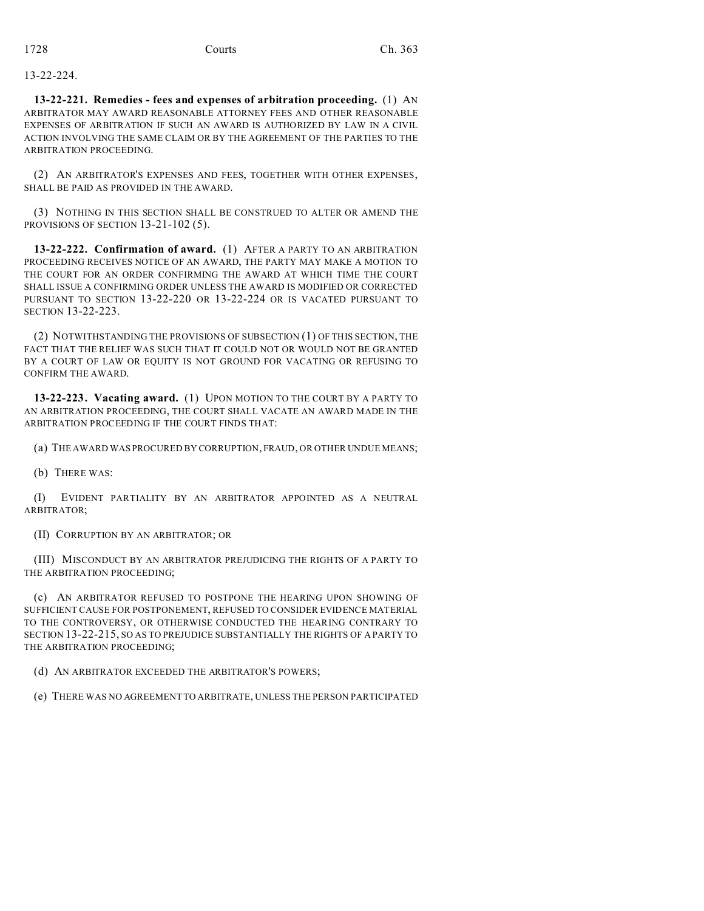13-22-224.

**13-22-221. Remedies - fees and expenses of arbitration proceeding.** (1) AN ARBITRATOR MAY AWARD REASONABLE ATTORNEY FEES AND OTHER REASONABLE EXPENSES OF ARBITRATION IF SUCH AN AWARD IS AUTHORIZED BY LAW IN A CIVIL ACTION INVOLVING THE SAME CLAIM OR BY THE AGREEMENT OF THE PARTIES TO THE ARBITRATION PROCEEDING.

(2) AN ARBITRATOR'S EXPENSES AND FEES, TOGETHER WITH OTHER EXPENSES, SHALL BE PAID AS PROVIDED IN THE AWARD.

(3) NOTHING IN THIS SECTION SHALL BE CONSTRUED TO ALTER OR AMEND THE PROVISIONS OF SECTION 13-21-102 (5).

**13-22-222. Confirmation of award.** (1) AFTER A PARTY TO AN ARBITRATION PROCEEDING RECEIVES NOTICE OF AN AWARD, THE PARTY MAY MAKE A MOTION TO THE COURT FOR AN ORDER CONFIRMING THE AWARD AT WHICH TIME THE COURT SHALL ISSUE A CONFIRMING ORDER UNLESS THE AWARD IS MODIFIED OR CORRECTED PURSUANT TO SECTION 13-22-220 OR 13-22-224 OR IS VACATED PURSUANT TO SECTION 13-22-223.

(2) NOTWITHSTANDING THE PROVISIONS OF SUBSECTION (1) OF THIS SECTION, THE FACT THAT THE RELIEF WAS SUCH THAT IT COULD NOT OR WOULD NOT BE GRANTED BY A COURT OF LAW OR EQUITY IS NOT GROUND FOR VACATING OR REFUSING TO CONFIRM THE AWARD.

**13-22-223. Vacating award.** (1) UPON MOTION TO THE COURT BY A PARTY TO AN ARBITRATION PROCEEDING, THE COURT SHALL VACATE AN AWARD MADE IN THE ARBITRATION PROCEEDING IF THE COURT FINDS THAT:

(a) THE AWARD WAS PROCURED BY CORRUPTION, FRAUD, OR OTHER UNDUE MEANS;

(b) THERE WAS:

(I) EVIDENT PARTIALITY BY AN ARBITRATOR APPOINTED AS A NEUTRAL ARBITRATOR;

(II) CORRUPTION BY AN ARBITRATOR; OR

(III) MISCONDUCT BY AN ARBITRATOR PREJUDICING THE RIGHTS OF A PARTY TO THE ARBITRATION PROCEEDING;

(c) AN ARBITRATOR REFUSED TO POSTPONE THE HEARING UPON SHOWING OF SUFFICIENT CAUSE FOR POSTPONEMENT, REFUSED TO CONSIDER EVIDENCE MATERIAL TO THE CONTROVERSY, OR OTHERWISE CONDUCTED THE HEARING CONTRARY TO SECTION 13-22-215, SO AS TO PREJUDICE SUBSTANTIALLY THE RIGHTS OF A PARTY TO THE ARBITRATION PROCEEDING;

(d) AN ARBITRATOR EXCEEDED THE ARBITRATOR'S POWERS;

(e) THERE WAS NO AGREEMENT TO ARBITRATE, UNLESS THE PERSON PARTICIPATED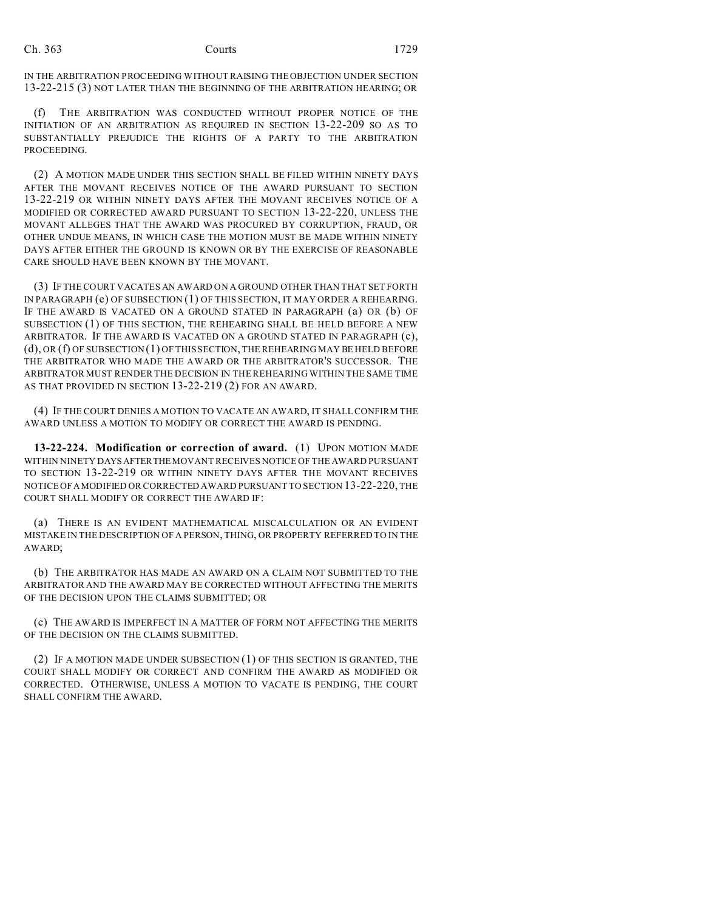IN THE ARBITRATION PROCEEDING WITHOUT RAISING THE OBJECTION UNDER SECTION 13-22-215 (3) NOT LATER THAN THE BEGINNING OF THE ARBITRATION HEARING; OR

(f) THE ARBITRATION WAS CONDUCTED WITHOUT PROPER NOTICE OF THE INITIATION OF AN ARBITRATION AS REQUIRED IN SECTION 13-22-209 SO AS TO SUBSTANTIALLY PREJUDICE THE RIGHTS OF A PARTY TO THE ARBITRATION PROCEEDING.

(2) A MOTION MADE UNDER THIS SECTION SHALL BE FILED WITHIN NINETY DAYS AFTER THE MOVANT RECEIVES NOTICE OF THE AWARD PURSUANT TO SECTION 13-22-219 OR WITHIN NINETY DAYS AFTER THE MOVANT RECEIVES NOTICE OF A MODIFIED OR CORRECTED AWARD PURSUANT TO SECTION 13-22-220, UNLESS THE MOVANT ALLEGES THAT THE AWARD WAS PROCURED BY CORRUPTION, FRAUD, OR OTHER UNDUE MEANS, IN WHICH CASE THE MOTION MUST BE MADE WITHIN NINETY DAYS AFTER EITHER THE GROUND IS KNOWN OR BY THE EXERCISE OF REASONABLE CARE SHOULD HAVE BEEN KNOWN BY THE MOVANT.

(3) IF THE COURT VACATES AN AWARD ON A GROUND OTHER THAN THAT SET FORTH IN PARAGRAPH (e) OF SUBSECTION (1) OF THIS SECTION, IT MAY ORDER A REHEARING. IF THE AWARD IS VACATED ON A GROUND STATED IN PARAGRAPH (a) OR (b) OF SUBSECTION (1) OF THIS SECTION, THE REHEARING SHALL BE HELD BEFORE A NEW ARBITRATOR. IF THE AWARD IS VACATED ON A GROUND STATED IN PARAGRAPH (c), (d), OR (f) OF SUBSECTION (1) OF THIS SECTION, THE REHEARING MAY BE HELD BEFORE THE ARBITRATOR WHO MADE THE AWARD OR THE ARBITRATOR'S SUCCESSOR. THE ARBITRATOR MUST RENDER THE DECISION IN THE REHEARING WITHIN THE SAME TIME AS THAT PROVIDED IN SECTION 13-22-219 (2) FOR AN AWARD.

(4) IF THE COURT DENIES A MOTION TO VACATE AN AWARD, IT SHALL CONFIRM THE AWARD UNLESS A MOTION TO MODIFY OR CORRECT THE AWARD IS PENDING.

**13-22-224. Modification or correction of award.** (1) UPON MOTION MADE WITHIN NINETY DAYSAFTERTHE MOVANT RECEIVES NOTICE OF THE AWARD PURSUANT TO SECTION 13-22-219 OR WITHIN NINETY DAYS AFTER THE MOVANT RECEIVES NOTICE OFAMODIFIED OR CORRECTED AWARD PURSUANT TO SECTION 13-22-220, THE COURT SHALL MODIFY OR CORRECT THE AWARD IF:

(a) THERE IS AN EVIDENT MATHEMATICAL MISCALCULATION OR AN EVIDENT MISTAKE IN THE DESCRIPTION OF A PERSON, THING, OR PROPERTY REFERRED TO IN THE AWARD;

(b) THE ARBITRATOR HAS MADE AN AWARD ON A CLAIM NOT SUBMITTED TO THE ARBITRATOR AND THE AWARD MAY BE CORRECTED WITHOUT AFFECTING THE MERITS OF THE DECISION UPON THE CLAIMS SUBMITTED; OR

(c) THE AWARD IS IMPERFECT IN A MATTER OF FORM NOT AFFECTING THE MERITS OF THE DECISION ON THE CLAIMS SUBMITTED.

(2) IF A MOTION MADE UNDER SUBSECTION (1) OF THIS SECTION IS GRANTED, THE COURT SHALL MODIFY OR CORRECT AND CONFIRM THE AWARD AS MODIFIED OR CORRECTED. OTHERWISE, UNLESS A MOTION TO VACATE IS PENDING, THE COURT SHALL CONFIRM THE AWARD.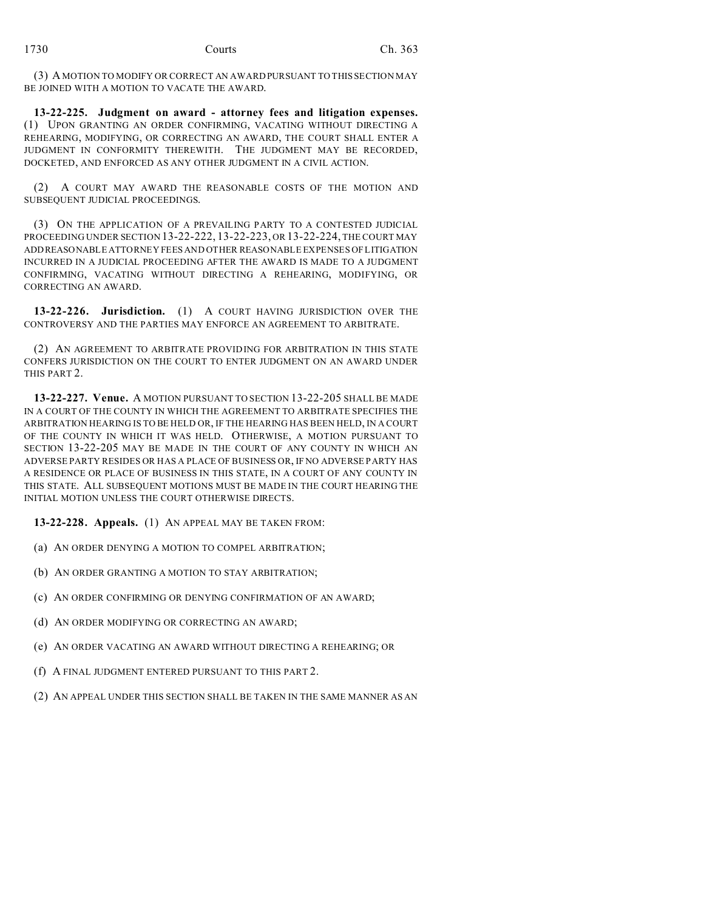(3) A MOTION TO MODIFY OR CORRECT AN AWARD PURSUANT TO THIS SECTION MAY BE JOINED WITH A MOTION TO VACATE THE AWARD.

**13-22-225. Judgment on award - attorney fees and litigation expenses.** (1) UPON GRANTING AN ORDER CONFIRMING, VACATING WITHOUT DIRECTING A REHEARING, MODIFYING, OR CORRECTING AN AWARD, THE COURT SHALL ENTER A JUDGMENT IN CONFORMITY THEREWITH. THE JUDGMENT MAY BE RECORDED, DOCKETED, AND ENFORCED AS ANY OTHER JUDGMENT IN A CIVIL ACTION.

(2) A COURT MAY AWARD THE REASONABLE COSTS OF THE MOTION AND SUBSEQUENT JUDICIAL PROCEEDINGS.

(3) ON THE APPLICATION OF A PREVAILING PARTY TO A CONTESTED JUDICIAL PROCEEDING UNDER SECTION 13-22-222, 13-22-223, OR 13-22-224, THE COURT MAY ADD REASONABLE ATTORNEY FEES AND OTHER REASONABLE EXPENSES OF LITIGATION INCURRED IN A JUDICIAL PROCEEDING AFTER THE AWARD IS MADE TO A JUDGMENT CONFIRMING, VACATING WITHOUT DIRECTING A REHEARING, MODIFYING, OR CORRECTING AN AWARD.

**13-22-226. Jurisdiction.** (1) A COURT HAVING JURISDICTION OVER THE CONTROVERSY AND THE PARTIES MAY ENFORCE AN AGREEMENT TO ARBITRATE.

(2) AN AGREEMENT TO ARBITRATE PROVIDING FOR ARBITRATION IN THIS STATE CONFERS JURISDICTION ON THE COURT TO ENTER JUDGMENT ON AN AWARD UNDER THIS PART 2.

**13-22-227. Venue.** A MOTION PURSUANT TO SECTION 13-22-205 SHALL BE MADE IN A COURT OF THE COUNTY IN WHICH THE AGREEMENT TO ARBITRATE SPECIFIES THE ARBITRATION HEARING IS TO BE HELD OR, IF THE HEARING HAS BEEN HELD, IN A COURT OF THE COUNTY IN WHICH IT WAS HELD. OTHERWISE, A MOTION PURSUANT TO SECTION 13-22-205 MAY BE MADE IN THE COURT OF ANY COUNTY IN WHICH AN ADVERSE PARTY RESIDES OR HAS A PLACE OF BUSINESS OR, IF NO ADVERSE PARTY HAS A RESIDENCE OR PLACE OF BUSINESS IN THIS STATE, IN A COURT OF ANY COUNTY IN THIS STATE. ALL SUBSEQUENT MOTIONS MUST BE MADE IN THE COURT HEARING THE INITIAL MOTION UNLESS THE COURT OTHERWISE DIRECTS.

**13-22-228. Appeals.** (1) AN APPEAL MAY BE TAKEN FROM:

(a) AN ORDER DENYING A MOTION TO COMPEL ARBITRATION;

(b) AN ORDER GRANTING A MOTION TO STAY ARBITRATION;

(c) AN ORDER CONFIRMING OR DENYING CONFIRMATION OF AN AWARD;

- (d) AN ORDER MODIFYING OR CORRECTING AN AWARD;
- (e) AN ORDER VACATING AN AWARD WITHOUT DIRECTING A REHEARING; OR
- (f) A FINAL JUDGMENT ENTERED PURSUANT TO THIS PART 2.
- (2) AN APPEAL UNDER THIS SECTION SHALL BE TAKEN IN THE SAME MANNER AS AN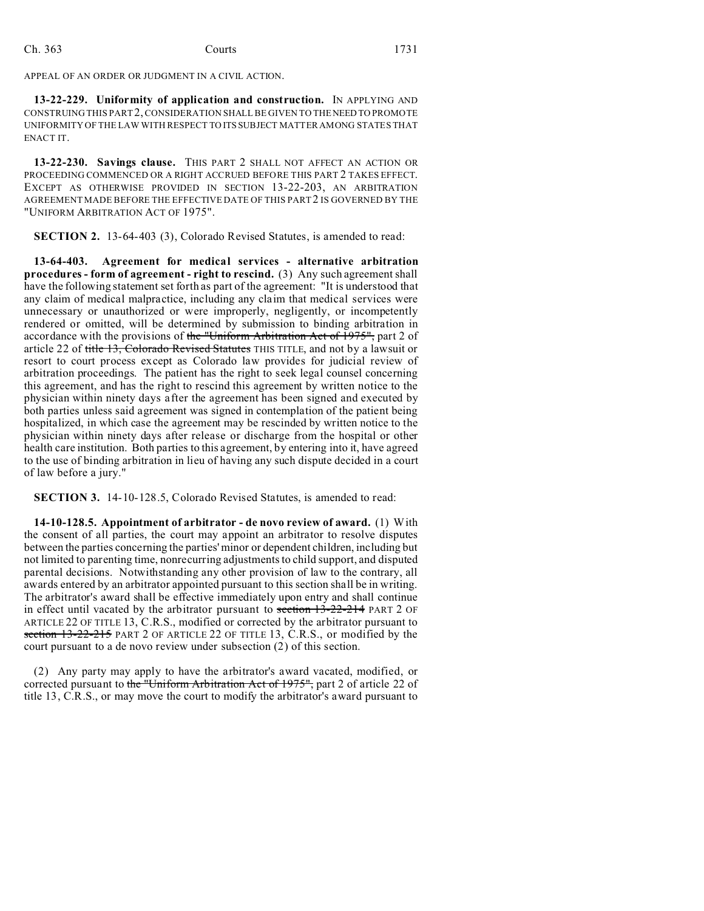APPEAL OF AN ORDER OR JUDGMENT IN A CIVIL ACTION.

**13-22-229. Uniformity of application and construction.** IN APPLYING AND CONSTRUING THIS PART 2, CONSIDERATION SHALL BE GIVEN TO THENEED TO PROMOTE UNIFORMITY OF THE LAW WITH RESPECT TO ITS SUBJECT MATTER AMONG STATES THAT ENACT IT.

**13-22-230. Savings clause.** THIS PART 2 SHALL NOT AFFECT AN ACTION OR PROCEEDING COMMENCED OR A RIGHT ACCRUED BEFORE THIS PART 2 TAKES EFFECT. EXCEPT AS OTHERWISE PROVIDED IN SECTION 13-22-203, AN ARBITRATION AGREEMENT MADE BEFORE THE EFFECTIVE DATE OF THIS PART 2 IS GOVERNED BY THE "UNIFORM ARBITRATION ACT OF 1975".

**SECTION 2.** 13-64-403 (3), Colorado Revised Statutes, is amended to read:

**13-64-403. Agreement for medical services - alternative arbitration procedures - form of agreement - right to rescind.** (3) Any such agreement shall have the following statement set forth as part of the agreement: "It is understood that any claim of medical malpractice, including any claim that medical services were unnecessary or unauthorized or were improperly, negligently, or incompetently rendered or omitted, will be determined by submission to binding arbitration in accordance with the provisions of the "Uniform Arbitration Act of 1975", part 2 of article 22 of title 13, Colorado Revised Statutes THIS TITLE, and not by a lawsuit or resort to court process except as Colorado law provides for judicial review of arbitration proceedings. The patient has the right to seek legal counsel concerning this agreement, and has the right to rescind this agreement by written notice to the physician within ninety days after the agreement has been signed and executed by both parties unless said agreement was signed in contemplation of the patient being hospitalized, in which case the agreement may be rescinded by written notice to the physician within ninety days after release or discharge from the hospital or other health care institution. Both parties to this agreement, by entering into it, have agreed to the use of binding arbitration in lieu of having any such dispute decided in a court of law before a jury."

**SECTION 3.** 14-10-128.5, Colorado Revised Statutes, is amended to read:

**14-10-128.5. Appointment of arbitrator - de novo review of award.** (1) With the consent of all parties, the court may appoint an arbitrator to resolve disputes between the parties concerning the parties' minor or dependent children, including but not limited to parenting time, nonrecurring adjustments to child support, and disputed parental decisions. Notwithstanding any other provision of law to the contrary, all awards entered by an arbitrator appointed pursuant to this section shall be in writing. The arbitrator's award shall be effective immediately upon entry and shall continue in effect until vacated by the arbitrator pursuant to section  $13-22-214$  PART 2 OF ARTICLE 22 OF TITLE 13, C.R.S., modified or corrected by the arbitrator pursuant to section 13-22-215 PART 2 OF ARTICLE 22 OF TITLE 13, C.R.S., or modified by the court pursuant to a de novo review under subsection (2) of this section.

(2) Any party may apply to have the arbitrator's award vacated, modified, or corrected pursuant to the "Uniform Arbitration Act of 1975", part 2 of article 22 of title 13, C.R.S., or may move the court to modify the arbitrator's award pursuant to